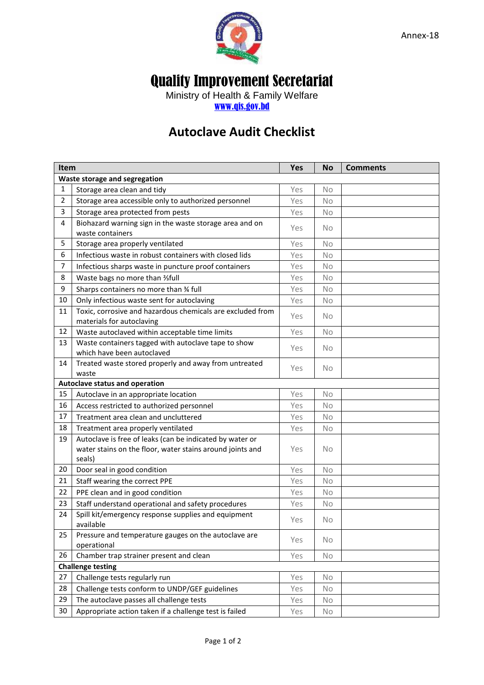

## Quality Improvement Secretariat

Ministry of Health & Family Welfare [www.qis.gov.bd](http://www.qis.gov.bd/)

## **Autoclave Audit Checklist**

| Item                          |                                                                                                                                 | Yes | <b>No</b> | <b>Comments</b> |  |  |  |
|-------------------------------|---------------------------------------------------------------------------------------------------------------------------------|-----|-----------|-----------------|--|--|--|
| Waste storage and segregation |                                                                                                                                 |     |           |                 |  |  |  |
| 1                             | Storage area clean and tidy                                                                                                     | Yes | No.       |                 |  |  |  |
| $\overline{2}$                | Storage area accessible only to authorized personnel                                                                            | Yes | No        |                 |  |  |  |
| 3                             | Storage area protected from pests                                                                                               | Yes | No        |                 |  |  |  |
| 4                             | Biohazard warning sign in the waste storage area and on<br>waste containers                                                     | Yes | <b>No</b> |                 |  |  |  |
| 5                             | Storage area properly ventilated                                                                                                | Yes | No        |                 |  |  |  |
| 6                             | Infectious waste in robust containers with closed lids                                                                          | Yes | No        |                 |  |  |  |
| 7                             | Infectious sharps waste in puncture proof containers                                                                            | Yes | <b>No</b> |                 |  |  |  |
| 8                             | Waste bags no more than 1/3 full                                                                                                | Yes | <b>No</b> |                 |  |  |  |
| 9                             | Sharps containers no more than 34 full                                                                                          | Yes | <b>No</b> |                 |  |  |  |
| 10                            | Only infectious waste sent for autoclaving                                                                                      | Yes | No        |                 |  |  |  |
| 11                            | Toxic, corrosive and hazardous chemicals are excluded from<br>materials for autoclaving                                         | Yes | <b>No</b> |                 |  |  |  |
| 12                            | Waste autoclaved within acceptable time limits                                                                                  | Yes | No        |                 |  |  |  |
| 13                            | Waste containers tagged with autoclave tape to show<br>which have been autoclaved                                               | Yes | <b>No</b> |                 |  |  |  |
| 14                            | Treated waste stored properly and away from untreated<br>waste                                                                  | Yes | <b>No</b> |                 |  |  |  |
|                               | Autoclave status and operation                                                                                                  |     |           |                 |  |  |  |
| 15                            | Autoclave in an appropriate location                                                                                            | Yes | <b>No</b> |                 |  |  |  |
| 16                            | Access restricted to authorized personnel                                                                                       | Yes | <b>No</b> |                 |  |  |  |
| 17                            | Treatment area clean and uncluttered                                                                                            | Yes | No        |                 |  |  |  |
| 18                            | Treatment area properly ventilated                                                                                              | Yes | No        |                 |  |  |  |
| 19                            | Autoclave is free of leaks (can be indicated by water or<br>water stains on the floor, water stains around joints and<br>seals) | Yes | No.       |                 |  |  |  |
| 20                            | Door seal in good condition                                                                                                     | Yes | No        |                 |  |  |  |
| 21                            | Staff wearing the correct PPE                                                                                                   | Yes | <b>No</b> |                 |  |  |  |
| 22                            | PPE clean and in good condition                                                                                                 | Yes | <b>No</b> |                 |  |  |  |
| 23                            | Staff understand operational and safety procedures                                                                              | Yes | No        |                 |  |  |  |
| 24                            | Spill kit/emergency response supplies and equipment<br>available                                                                | Yes | <b>No</b> |                 |  |  |  |
| 25                            | Pressure and temperature gauges on the autoclave are<br>operational                                                             | Yes | No        |                 |  |  |  |
| 26                            | Chamber trap strainer present and clean                                                                                         | Yes | No        |                 |  |  |  |
| <b>Challenge testing</b>      |                                                                                                                                 |     |           |                 |  |  |  |
| 27                            | Challenge tests regularly run                                                                                                   | Yes | No.       |                 |  |  |  |
| 28                            | Challenge tests conform to UNDP/GEF guidelines                                                                                  | Yes | No        |                 |  |  |  |
| 29                            | The autoclave passes all challenge tests                                                                                        | Yes | No        |                 |  |  |  |
| 30                            | Appropriate action taken if a challenge test is failed                                                                          | Yes | No        |                 |  |  |  |